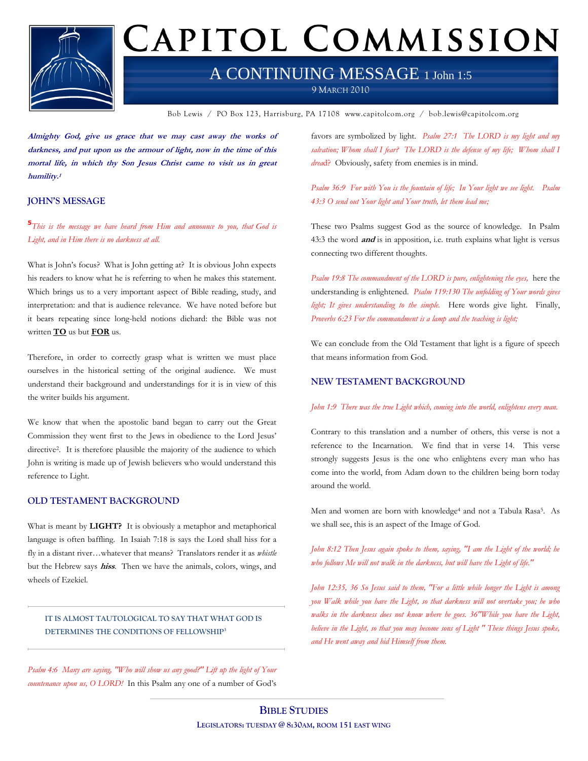

# CAPITOL COMMISSION

## A CONTINUING MESSAGE 1 John 1:5

9 MARCH 2010

Bob Lewis / PO Box 123, Harrisburg, PA 17108 www.capitolcom.org / bob.lewis@capitolcom.org

**Almighty God, give us grace that we may cast away the works of darkness, and put upon us the armour of light, now in the time of this mortal life, in which thy Son Jesus Christ came to visit us in great humility. 1**

#### **JOHN'S MESSAGE**

**5** *This is the message we have heard from Him and announce to you, that God is Light, and in Him there is no darkness at all.*

What is John's focus? What is John getting at? It is obvious John expects his readers to know what he is referring to when he makes this statement. Which brings us to a very important aspect of Bible reading, study, and interpretation: and that is audience relevance. We have noted before but it bears repeating since long-held notions diehard: the Bible was not written **TO** us but **FOR** us.

Therefore, in order to correctly grasp what is written we must place ourselves in the historical setting of the original audience. We must understand their background and understandings for it is in view of this the writer builds his argument.

We know that when the apostolic band began to carry out the Great Commission they went first to the Jews in obedience to the Lord Jesus' directive2. It is therefore plausible the majority of the audience to which John is writing is made up of Jewish believers who would understand this reference to Light.

#### **OLD TESTAMENT BACKGROUND**

What is meant by **LIGHT?** It is obviously a metaphor and metaphorical language is often baffling. In Isaiah 7:18 is says the Lord shall hiss for a fly in a distant river…whatever that means? Translators render it as *whistle* but the Hebrew says **hiss**. Then we have the animals, colors, wings, and wheels of Ezekiel.

**IT IS ALMOST TAUTOLOGICAL TO SAY THAT WHAT GOD IS DETERMINES THE CONDITIONS OF FELLOWSHIP<sup>3</sup>**

*Psalm 4:6 Many are saying, "Who will show us any good?" Lift up the light of Your countenance upon us, O LORD!* In this Psalm any one of a number of God's favors are symbolized by light. *Psalm 27:1 The LORD is my light and my*  salvation; Whom shall I fear? The LORD is the defense of my life; Whom shall I *drea*d? Obviously, safety from enemies is in mind.

*Psalm 36:9 For with You is the fountain of life; In Your light we see light. Psalm 43:3 O send out Your light and Your truth, let them lead me;*

These two Psalms suggest God as the source of knowledge. In Psalm 43:3 the word **and** is in apposition, i.e. truth explains what light is versus connecting two different thoughts.

*Psalm 19:8 The commandment of the LORD is pure, enlightening the eyes,* here the understanding is enlightened. *Psalm 119:130 The unfolding of Your words gives light; It gives understanding to the simple.* Here words give light. Finally, *Proverbs 6:23 For the commandment is a lamp and the teaching is light;* 

We can conclude from the Old Testament that light is a figure of speech that means information from God.

#### **NEW TESTAMENT BACKGROUND**

#### *John 1:9 There was the true Light which, coming into the world, enlightens every man.*

Contrary to this translation and a number of others, this verse is not a reference to the Incarnation. We find that in verse 14. This verse strongly suggests Jesus is the one who enlightens every man who has come into the world, from Adam down to the children being born today around the world.

Men and women are born with knowledge<sup>4</sup> and not a Tabula Rasa5. As we shall see, this is an aspect of the Image of God.

*John 8:12 Then Jesus again spoke to them, saying, "I am the Light of the world; he who follows Me will not walk in the darkness, but will have the Light of life."*

*John 12:35, 36 So Jesus said to them, "For a little while longer the Light is among you Walk while you have the Light, so that darkness will not overtake you; he who walks in the darkness does not know where he goes. 36"While you have the Light, believe in the Light, so that you may become sons of Light " These things Jesus spoke, and He went away and hid Himself from them.*